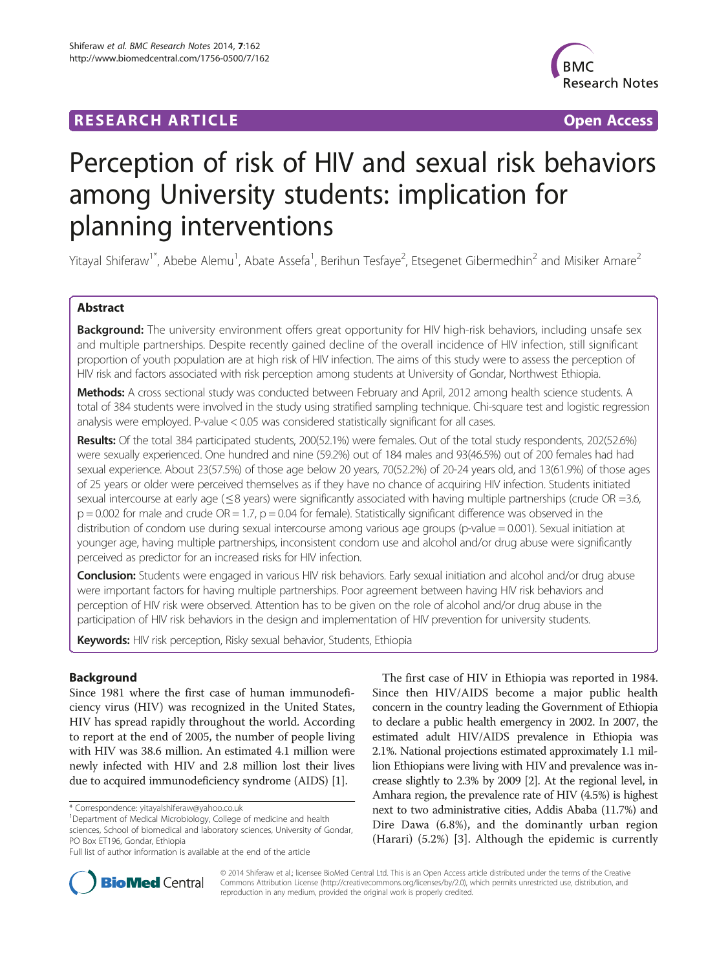## **RESEARCH ARTICLE Example 2018 12:00 Department of the CONNECTION CONNECTION CONNECTION CONNECTION**



# Perception of risk of HIV and sexual risk behaviors among University students: implication for planning interventions

Yitayal Shiferaw<sup>1\*</sup>, Abebe Alemu<sup>1</sup>, Abate Assefa<sup>1</sup>, Berihun Tesfaye<sup>2</sup>, Etsegenet Gibermedhin<sup>2</sup> and Misiker Amare<sup>2</sup>

## Abstract

Background: The university environment offers great opportunity for HIV high-risk behaviors, including unsafe sex and multiple partnerships. Despite recently gained decline of the overall incidence of HIV infection, still significant proportion of youth population are at high risk of HIV infection. The aims of this study were to assess the perception of HIV risk and factors associated with risk perception among students at University of Gondar, Northwest Ethiopia.

Methods: A cross sectional study was conducted between February and April, 2012 among health science students. A total of 384 students were involved in the study using stratified sampling technique. Chi-square test and logistic regression analysis were employed. P-value < 0.05 was considered statistically significant for all cases.

Results: Of the total 384 participated students, 200(52.1%) were females. Out of the total study respondents, 202(52.6%) were sexually experienced. One hundred and nine (59.2%) out of 184 males and 93(46.5%) out of 200 females had had sexual experience. About 23(57.5%) of those age below 20 years, 70(52.2%) of 20-24 years old, and 13(61.9%) of those ages of 25 years or older were perceived themselves as if they have no chance of acquiring HIV infection. Students initiated sexual intercourse at early age ( $\leq$ 8 years) were significantly associated with having multiple partnerships (crude OR =3.6,  $p = 0.002$  for male and crude OR = 1.7,  $p = 0.04$  for female). Statistically significant difference was observed in the distribution of condom use during sexual intercourse among various age groups (p-value = 0.001). Sexual initiation at younger age, having multiple partnerships, inconsistent condom use and alcohol and/or drug abuse were significantly perceived as predictor for an increased risks for HIV infection.

Conclusion: Students were engaged in various HIV risk behaviors. Early sexual initiation and alcohol and/or drug abuse were important factors for having multiple partnerships. Poor agreement between having HIV risk behaviors and perception of HIV risk were observed. Attention has to be given on the role of alcohol and/or drug abuse in the participation of HIV risk behaviors in the design and implementation of HIV prevention for university students.

Keywords: HIV risk perception, Risky sexual behavior, Students, Ethiopia

## Background

Since 1981 where the first case of human immunodeficiency virus (HIV) was recognized in the United States, HIV has spread rapidly throughout the world. According to report at the end of 2005, the number of people living with HIV was 38.6 million. An estimated 4.1 million were newly infected with HIV and 2.8 million lost their lives due to acquired immunodeficiency syndrome (AIDS) [\[1](#page-7-0)].

The first case of HIV in Ethiopia was reported in 1984. Since then HIV/AIDS become a major public health concern in the country leading the Government of Ethiopia to declare a public health emergency in 2002. In 2007, the estimated adult HIV/AIDS prevalence in Ethiopia was 2.1%. National projections estimated approximately 1.1 million Ethiopians were living with HIV and prevalence was increase slightly to 2.3% by 2009 [\[2](#page-7-0)]. At the regional level, in Amhara region, the prevalence rate of HIV (4.5%) is highest next to two administrative cities, Addis Ababa (11.7%) and Dire Dawa (6.8%), and the dominantly urban region (Harari) (5.2%) [[3\]](#page-7-0). Although the epidemic is currently



© 2014 Shiferaw et al.; licensee BioMed Central Ltd. This is an Open Access article distributed under the terms of the Creative Commons Attribution License [\(http://creativecommons.org/licenses/by/2.0\)](http://creativecommons.org/licenses/by/2.0), which permits unrestricted use, distribution, and reproduction in any medium, provided the original work is properly credited.

<sup>\*</sup> Correspondence: [yitayalshiferaw@yahoo.co.uk](mailto:yitayalshiferaw@yahoo.co.uk) <sup>1</sup>

Department of Medical Microbiology, College of medicine and health sciences, School of biomedical and laboratory sciences, University of Gondar, PO Box ET196, Gondar, Ethiopia

Full list of author information is available at the end of the article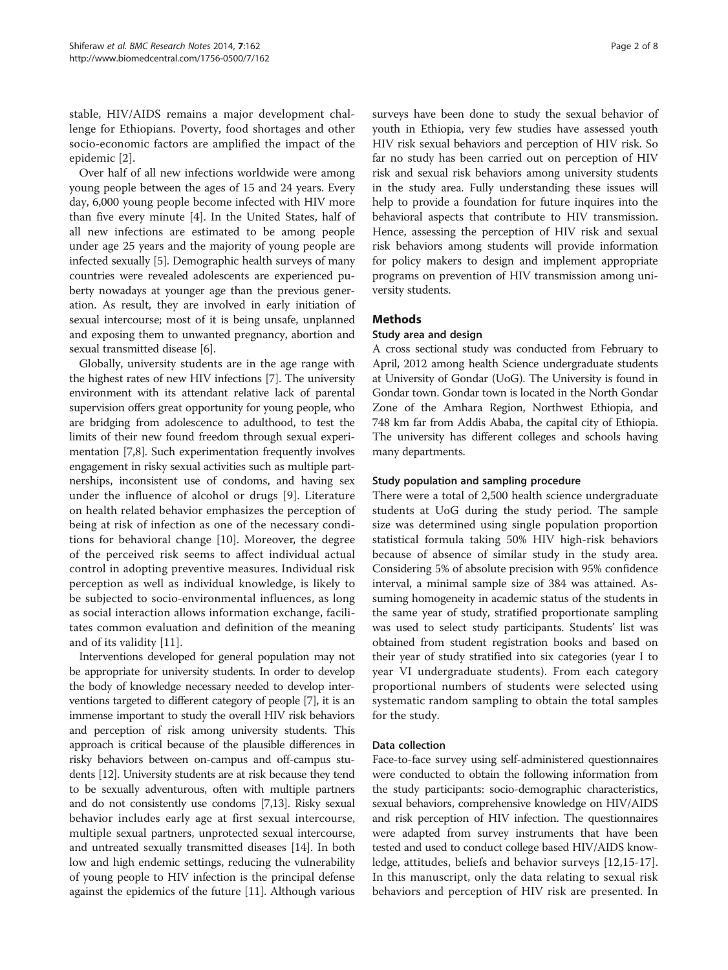stable, HIV/AIDS remains a major development challenge for Ethiopians. Poverty, food shortages and other socio-economic factors are amplified the impact of the epidemic [\[2](#page-7-0)].

Over half of all new infections worldwide were among young people between the ages of 15 and 24 years. Every day, 6,000 young people become infected with HIV more than five every minute [\[4](#page-7-0)]. In the United States, half of all new infections are estimated to be among people under age 25 years and the majority of young people are infected sexually [[5](#page-7-0)]. Demographic health surveys of many countries were revealed adolescents are experienced puberty nowadays at younger age than the previous generation. As result, they are involved in early initiation of sexual intercourse; most of it is being unsafe, unplanned and exposing them to unwanted pregnancy, abortion and sexual transmitted disease [[6](#page-7-0)].

Globally, university students are in the age range with the highest rates of new HIV infections [\[7](#page-7-0)]. The university environment with its attendant relative lack of parental supervision offers great opportunity for young people, who are bridging from adolescence to adulthood, to test the limits of their new found freedom through sexual experimentation [[7,8](#page-7-0)]. Such experimentation frequently involves engagement in risky sexual activities such as multiple partnerships, inconsistent use of condoms, and having sex under the influence of alcohol or drugs [[9\]](#page-7-0). Literature on health related behavior emphasizes the perception of being at risk of infection as one of the necessary conditions for behavioral change [\[10](#page-7-0)]. Moreover, the degree of the perceived risk seems to affect individual actual control in adopting preventive measures. Individual risk perception as well as individual knowledge, is likely to be subjected to socio-environmental influences, as long as social interaction allows information exchange, facilitates common evaluation and definition of the meaning and of its validity [[11\]](#page-7-0).

Interventions developed for general population may not be appropriate for university students. In order to develop the body of knowledge necessary needed to develop interventions targeted to different category of people [\[7](#page-7-0)], it is an immense important to study the overall HIV risk behaviors and perception of risk among university students. This approach is critical because of the plausible differences in risky behaviors between on-campus and off-campus students [[12\]](#page-7-0). University students are at risk because they tend to be sexually adventurous, often with multiple partners and do not consistently use condoms [\[7,13](#page-7-0)]. Risky sexual behavior includes early age at first sexual intercourse, multiple sexual partners, unprotected sexual intercourse, and untreated sexually transmitted diseases [\[14\]](#page-7-0). In both low and high endemic settings, reducing the vulnerability of young people to HIV infection is the principal defense against the epidemics of the future [\[11\]](#page-7-0). Although various surveys have been done to study the sexual behavior of youth in Ethiopia, very few studies have assessed youth HIV risk sexual behaviors and perception of HIV risk. So far no study has been carried out on perception of HIV risk and sexual risk behaviors among university students in the study area. Fully understanding these issues will help to provide a foundation for future inquires into the behavioral aspects that contribute to HIV transmission. Hence, assessing the perception of HIV risk and sexual risk behaviors among students will provide information for policy makers to design and implement appropriate programs on prevention of HIV transmission among university students.

## Methods

#### Study area and design

A cross sectional study was conducted from February to April, 2012 among health Science undergraduate students at University of Gondar (UoG). The University is found in Gondar town. Gondar town is located in the North Gondar Zone of the Amhara Region, Northwest Ethiopia, and 748 km far from Addis Ababa, the capital city of Ethiopia. The university has different colleges and schools having many departments.

#### Study population and sampling procedure

There were a total of 2,500 health science undergraduate students at UoG during the study period. The sample size was determined using single population proportion statistical formula taking 50% HIV high-risk behaviors because of absence of similar study in the study area. Considering 5% of absolute precision with 95% confidence interval, a minimal sample size of 384 was attained. Assuming homogeneity in academic status of the students in the same year of study, stratified proportionate sampling was used to select study participants. Students' list was obtained from student registration books and based on their year of study stratified into six categories (year І to year VІ undergraduate students). From each category proportional numbers of students were selected using systematic random sampling to obtain the total samples for the study.

#### Data collection

Face-to-face survey using self-administered questionnaires were conducted to obtain the following information from the study participants: socio-demographic characteristics, sexual behaviors, comprehensive knowledge on HIV/AIDS and risk perception of HIV infection. The questionnaires were adapted from survey instruments that have been tested and used to conduct college based HIV/AIDS knowledge, attitudes, beliefs and behavior surveys [\[12,15-17](#page-7-0)]. In this manuscript, only the data relating to sexual risk behaviors and perception of HIV risk are presented. In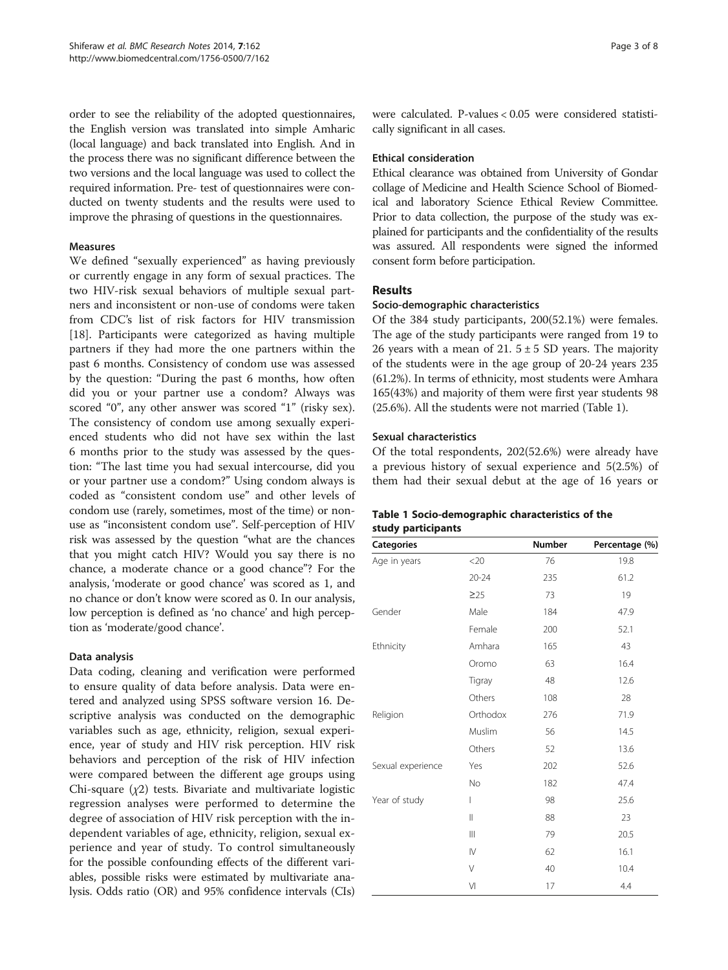order to see the reliability of the adopted questionnaires, the English version was translated into simple Amharic (local language) and back translated into English. And in the process there was no significant difference between the two versions and the local language was used to collect the required information. Pre- test of questionnaires were conducted on twenty students and the results were used to improve the phrasing of questions in the questionnaires.

#### Measures

We defined "sexually experienced" as having previously or currently engage in any form of sexual practices. The two HIV-risk sexual behaviors of multiple sexual partners and inconsistent or non-use of condoms were taken from CDC's list of risk factors for HIV transmission [[18\]](#page-7-0). Participants were categorized as having multiple partners if they had more the one partners within the past 6 months. Consistency of condom use was assessed by the question: "During the past 6 months, how often did you or your partner use a condom? Always was scored "0", any other answer was scored "1" (risky sex). The consistency of condom use among sexually experienced students who did not have sex within the last 6 months prior to the study was assessed by the question: "The last time you had sexual intercourse, did you or your partner use a condom?" Using condom always is coded as "consistent condom use" and other levels of condom use (rarely, sometimes, most of the time) or nonuse as "inconsistent condom use". Self-perception of HIV risk was assessed by the question "what are the chances that you might catch HIV? Would you say there is no chance, a moderate chance or a good chance"? For the analysis, 'moderate or good chance' was scored as 1, and no chance or don't know were scored as 0. In our analysis, low perception is defined as 'no chance' and high perception as 'moderate/good chance'.

## Data analysis

Data coding, cleaning and verification were performed to ensure quality of data before analysis. Data were entered and analyzed using SPSS software version 16. Descriptive analysis was conducted on the demographic variables such as age, ethnicity, religion, sexual experience, year of study and HIV risk perception. HIV risk behaviors and perception of the risk of HIV infection were compared between the different age groups using Chi-square  $(\chi^2)$  tests. Bivariate and multivariate logistic regression analyses were performed to determine the degree of association of HIV risk perception with the independent variables of age, ethnicity, religion, sexual experience and year of study. To control simultaneously for the possible confounding effects of the different variables, possible risks were estimated by multivariate analysis. Odds ratio (OR) and 95% confidence intervals (CIs) were calculated. P-values < 0.05 were considered statistically significant in all cases.

#### Ethical consideration

Ethical clearance was obtained from University of Gondar collage of Medicine and Health Science School of Biomedical and laboratory Science Ethical Review Committee. Prior to data collection, the purpose of the study was explained for participants and the confidentiality of the results was assured. All respondents were signed the informed consent form before participation.

#### Results

#### Socio-demographic characteristics

Of the 384 study participants, 200(52.1%) were females. The age of the study participants were ranged from 19 to 26 years with a mean of 21.  $5 \pm 5$  SD years. The majority of the students were in the age group of 20-24 years 235 (61.2%). In terms of ethnicity, most students were Amhara 165(43%) and majority of them were first year students 98 (25.6%). All the students were not married (Table 1).

#### Sexual characteristics

Of the total respondents, 202(52.6%) were already have a previous history of sexual experience and 5(2.5%) of them had their sexual debut at the age of 16 years or

## Table 1 Socio-demographic characteristics of the study participants

| <b>Categories</b> |               | <b>Number</b> | Percentage (%) |
|-------------------|---------------|---------------|----------------|
| Age in years      | <20           | 76            | 19.8           |
|                   | $20 - 24$     | 235           | 61.2           |
|                   | $\geq$ 25     | 73            | 19             |
| Gender            | Male          | 184           | 47.9           |
|                   | Female        | 200           | 52.1           |
| Ethnicity         | Amhara        | 165           | 43             |
|                   | Oromo         | 63            | 16.4           |
|                   | Tigray        | 48            | 12.6           |
|                   | Others        | 108           | 28             |
| Religion          | Orthodox      | 276           | 71.9           |
|                   | Muslim        | 56            | 14.5           |
|                   | Others        | 52            | 13.6           |
| Sexual experience | Yes           | 202           | 52.6           |
|                   | <b>No</b>     | 182           | 47.4           |
| Year of study     | I             | 98            | 25.6           |
|                   | $\mathbb{I}$  | 88            | 23             |
|                   | $\parallel$   | 79            | 20.5           |
|                   | $\mathsf{IV}$ | 62            | 16.1           |
|                   | $\vee$        | 40            | 10.4           |
|                   | VI            | 17            | 4.4            |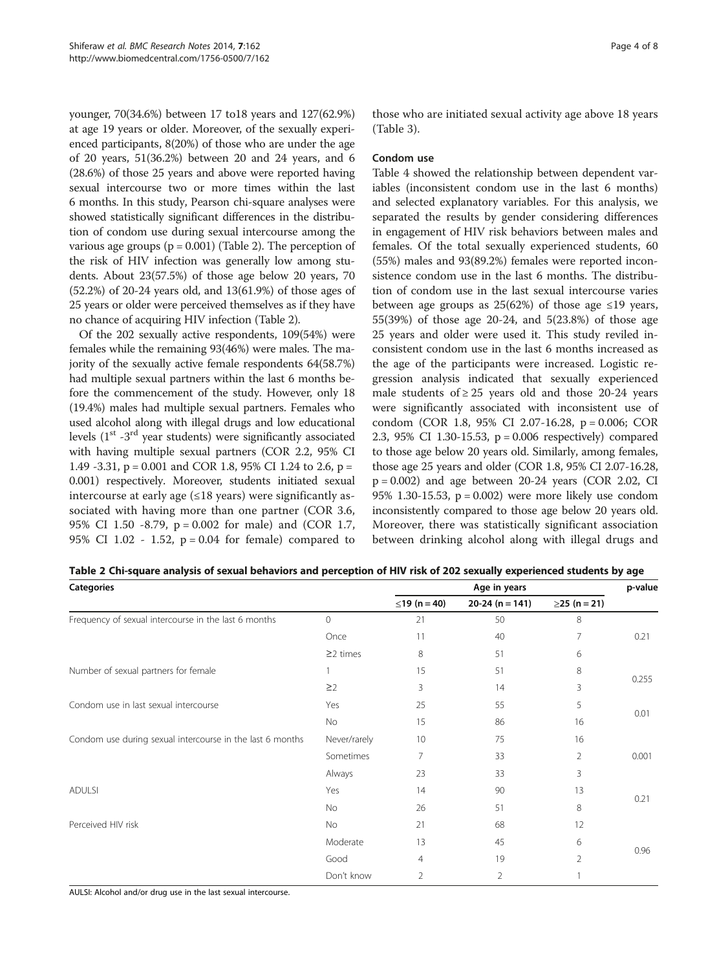younger, 70(34.6%) between 17 to18 years and 127(62.9%) at age 19 years or older. Moreover, of the sexually experienced participants, 8(20%) of those who are under the age of 20 years, 51(36.2%) between 20 and 24 years, and 6 (28.6%) of those 25 years and above were reported having sexual intercourse two or more times within the last 6 months. In this study, Pearson chi-square analyses were showed statistically significant differences in the distribution of condom use during sexual intercourse among the various age groups  $(p = 0.001)$  (Table 2). The perception of the risk of HIV infection was generally low among students. About 23(57.5%) of those age below 20 years, 70 (52.2%) of 20-24 years old, and 13(61.9%) of those ages of 25 years or older were perceived themselves as if they have no chance of acquiring HIV infection (Table 2).

Of the 202 sexually active respondents, 109(54%) were females while the remaining 93(46%) were males. The majority of the sexually active female respondents 64(58.7%) had multiple sexual partners within the last 6 months before the commencement of the study. However, only 18 (19.4%) males had multiple sexual partners. Females who used alcohol along with illegal drugs and low educational levels  $(1^{st} -3^{rd}$  year students) were significantly associated with having multiple sexual partners (COR 2.2, 95% CI 1.49 -3.31, p = 0.001 and COR 1.8, 95% CI 1.24 to 2.6, p = 0.001) respectively. Moreover, students initiated sexual intercourse at early age  $(≤18$  years) were significantly associated with having more than one partner (COR 3.6, 95% CI 1.50 -8.79, p = 0.002 for male) and (COR 1.7, 95% CI 1.02 - 1.52, p = 0.04 for female) compared to

those who are initiated sexual activity age above 18 years (Table [3](#page-4-0)).

#### Condom use

Table [4](#page-4-0) showed the relationship between dependent variables (inconsistent condom use in the last 6 months) and selected explanatory variables. For this analysis, we separated the results by gender considering differences in engagement of HIV risk behaviors between males and females. Of the total sexually experienced students, 60 (55%) males and 93(89.2%) females were reported inconsistence condom use in the last 6 months. The distribution of condom use in the last sexual intercourse varies between age groups as  $25(62%)$  of those age ≤19 years, 55(39%) of those age 20-24, and 5(23.8%) of those age 25 years and older were used it. This study reviled inconsistent condom use in the last 6 months increased as the age of the participants were increased. Logistic regression analysis indicated that sexually experienced male students of  $\geq 25$  years old and those 20-24 years were significantly associated with inconsistent use of condom (COR 1.8, 95% CI 2.07-16.28, p = 0.006; COR 2.3, 95% CI 1.30-15.53, p = 0.006 respectively) compared to those age below 20 years old. Similarly, among females, those age 25 years and older (COR 1.8, 95% CI 2.07-16.28,  $p = 0.002$ ) and age between 20-24 years (COR 2.02, CI 95% 1.30-15.53, p = 0.002) were more likely use condom inconsistently compared to those age below 20 years old. Moreover, there was statistically significant association between drinking alcohol along with illegal drugs and

| Table 2 Chi-square analysis of sexual behaviors and perception of HIV risk of 202 sexually experienced students by age |  |
|------------------------------------------------------------------------------------------------------------------------|--|
|                                                                                                                        |  |

| Categories                                                |                | Age in years   |                   |              | p-value |
|-----------------------------------------------------------|----------------|----------------|-------------------|--------------|---------|
|                                                           |                | ≤19 (n = 40)   | $20-24$ (n = 141) | ≥25 (n = 21) |         |
| Frequency of sexual intercourse in the last 6 months      | 0              | 21             | 50                | 8            |         |
|                                                           | Once           | 11             | 40                | 7            | 0.21    |
|                                                           | $\geq$ 2 times | 8              | 51                | 6            |         |
| Number of sexual partners for female                      |                | 15             | 51                | 8            |         |
|                                                           | $\geq$ 2       | 3              | 14                | 3            | 0.255   |
| Condom use in last sexual intercourse                     | Yes            | 25             | 55                | 5            |         |
|                                                           | No             | 15             | 86                | 16           | 0.01    |
| Condom use during sexual intercourse in the last 6 months | Never/rarely   | 10             | 75                | 16           |         |
|                                                           | Sometimes      | 7              | 33                | 2            | 0.001   |
|                                                           | Always         | 23             | 33                | 3            |         |
| <b>ADULSI</b>                                             | Yes            | 14             | 90                | 13           |         |
|                                                           | No             | 26             | 51                | 8            | 0.21    |
| Perceived HIV risk                                        | No             | 21             | 68                | 12           |         |
|                                                           | Moderate       | 13             | 45                | 6            |         |
|                                                           | Good           | $\overline{4}$ | 19                | 2            | 0.96    |
|                                                           | Don't know     | 2              | 2                 |              |         |

AULSI: Alcohol and/or drug use in the last sexual intercourse.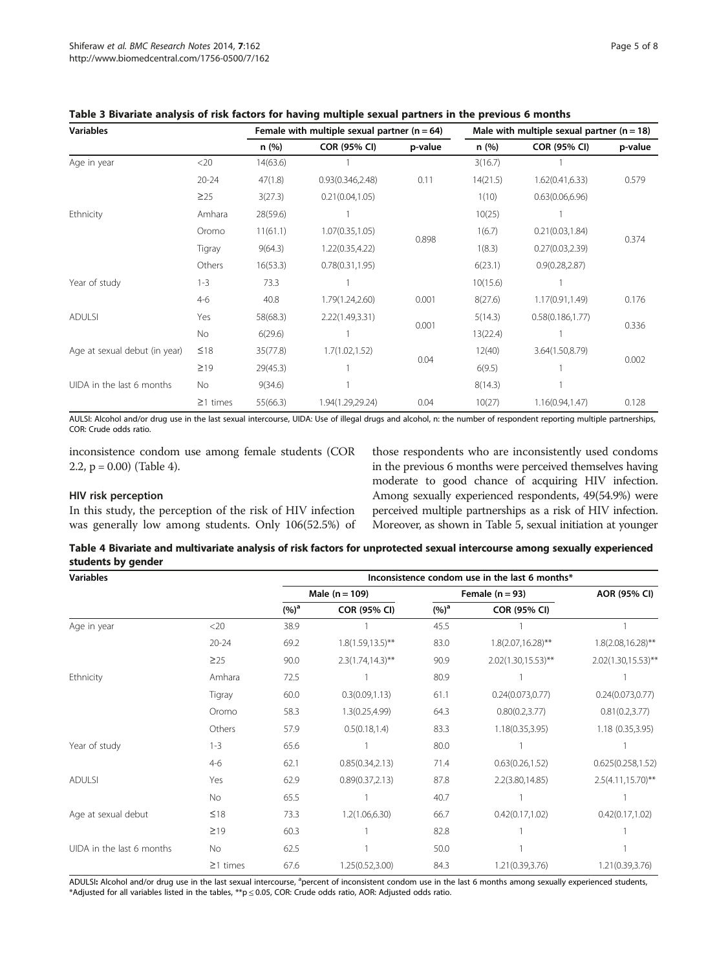| <b>Variables</b>              |                | Female with multiple sexual partner ( $n = 64$ ) |                   |         | Male with multiple sexual partner ( $n = 18$ ) |                   |         |
|-------------------------------|----------------|--------------------------------------------------|-------------------|---------|------------------------------------------------|-------------------|---------|
|                               |                | n(%)                                             | COR (95% CI)      | p-value | n (%)                                          | COR (95% CI)      | p-value |
| Age in year                   | <20            | 14(63.6)                                         |                   |         | 3(16.7)                                        |                   |         |
|                               | $20 - 24$      | 47(1.8)                                          | 0.93(0.346, 2.48) | 0.11    | 14(21.5)                                       | 1.62(0.41, 6.33)  | 0.579   |
|                               | $\geq$ 25      | 3(27.3)                                          | 0.21(0.04, 1.05)  |         | 1(10)                                          | 0.63(0.06, 6.96)  |         |
| Ethnicity                     | Amhara         | 28(59.6)                                         |                   |         | 10(25)                                         |                   |         |
|                               | Oromo          | 11(61.1)                                         | 1.07(0.35, 1.05)  |         | 1(6.7)                                         | 0.21(0.03, 1.84)  |         |
|                               | Tigray         | 9(64.3)                                          | 1.22(0.35,4.22)   | 0.898   | 1(8.3)                                         | 0.27(0.03, 2.39)  | 0.374   |
|                               | Others         | 16(53.3)                                         | 0.78(0.31, 1.95)  |         | 6(23.1)                                        | 0.9(0.28, 2.87)   |         |
| Year of study                 | $1 - 3$        | 73.3                                             |                   |         | 10(15.6)                                       |                   |         |
|                               | $4 - 6$        | 40.8                                             | 1.79(1.24,2.60)   | 0.001   | 8(27.6)                                        | 1.17(0.91,1.49)   | 0.176   |
| <b>ADULSI</b>                 | Yes            | 58(68.3)                                         | 2.22(1.49,3.31)   |         | 5(14.3)                                        | 0.58(0.186, 1.77) |         |
|                               | No             | 6(29.6)                                          |                   | 0.001   | 13(22.4)                                       |                   | 0.336   |
| Age at sexual debut (in year) | $\leq 18$      | 35(77.8)                                         | 1.7(1.02, 1.52)   | 0.04    | 12(40)                                         | 3.64(1.50,8.79)   |         |
|                               | $\geq$ 19      | 29(45.3)                                         |                   |         | 6(9.5)                                         |                   | 0.002   |
| UIDA in the last 6 months     | No             | 9(34.6)                                          |                   |         | 8(14.3)                                        |                   |         |
|                               | $\geq$ 1 times | 55(66.3)                                         | 1.94(1.29,29.24)  | 0.04    | 10(27)                                         | 1.16(0.94, 1.47)  | 0.128   |

<span id="page-4-0"></span>Table 3 Bivariate analysis of risk factors for having multiple sexual partners in the previous 6 months

AULSI: Alcohol and/or drug use in the last sexual intercourse, UIDA: Use of illegal drugs and alcohol, n: the number of respondent reporting multiple partnerships, COR: Crude odds ratio.

inconsistence condom use among female students (COR 2.2, p = 0.00) (Table 4).

## HIV risk perception

In this study, the perception of the risk of HIV infection was generally low among students. Only 106(52.5%) of

those respondents who are inconsistently used condoms in the previous 6 months were perceived themselves having moderate to good chance of acquiring HIV infection. Among sexually experienced respondents, 49(54.9%) were perceived multiple partnerships as a risk of HIV infection. Moreover, as shown in Table [5](#page-5-0), sexual initiation at younger

| Table 4 Bivariate and multivariate analysis of risk factors for unprotected sexual intercourse among sexually experienced |  |  |
|---------------------------------------------------------------------------------------------------------------------------|--|--|
| students by gender                                                                                                        |  |  |

| <b>Variables</b>          |                | Inconsistence condom use in the last 6 months* |                      |                   |                       |                       |  |
|---------------------------|----------------|------------------------------------------------|----------------------|-------------------|-----------------------|-----------------------|--|
|                           |                | Male $(n = 109)$                               |                      | Female $(n = 93)$ |                       | AOR (95% CI)          |  |
|                           |                | $(%)^a$                                        | <b>COR (95% CI)</b>  | $(%)^a$           | COR (95% CI)          |                       |  |
| Age in year               | <20            | 38.9                                           |                      | 45.5              |                       |                       |  |
|                           | $20 - 24$      | 69.2                                           | $1.8(1.59, 13.5)$ ** | 83.0              | $1.8(2.07, 16.28)$ ** | $1.8(2.08, 16.28)$ ** |  |
|                           | $\geq$ 25      | 90.0                                           | $2.3(1.74, 14.3)$ ** | 90.9              | 2.02(1.30,15.53)**    | 2.02(1.30,15.53)**    |  |
| Ethnicity                 | Amhara         | 72.5                                           |                      | 80.9              |                       |                       |  |
|                           | Tigray         | 60.0                                           | 0.3(0.09, 1.13)      | 61.1              | 0.24(0.073, 0.77)     | 0.24(0.073, 0.77)     |  |
|                           | Oromo          | 58.3                                           | 1.3(0.25, 4.99)      | 64.3              | 0.80(0.2, 3.77)       | 0.81(0.2,3.77)        |  |
|                           | Others         | 57.9                                           | 0.5(0.18, 1.4)       | 83.3              | 1.18(0.35, 3.95)      | 1.18 (0.35,3.95)      |  |
| Year of study             | $1 - 3$        | 65.6                                           |                      | 80.0              |                       |                       |  |
|                           | $4-6$          | 62.1                                           | 0.85(0.34, 2.13)     | 71.4              | 0.63(0.26, 1.52)      | 0.625(0.258, 1.52)    |  |
| <b>ADULSI</b>             | Yes            | 62.9                                           | 0.89(0.37, 2.13)     | 87.8              | 2.2(3.80,14.85)       | $2.5(4.11, 15.70)$ ** |  |
|                           | No             | 65.5                                           |                      | 40.7              |                       |                       |  |
| Age at sexual debut       | $\leq 18$      | 73.3                                           | 1.2(1.06, 6.30)      | 66.7              | 0.42(0.17, 1.02)      | 0.42(0.17, 1.02)      |  |
|                           | $\geq$ 19      | 60.3                                           |                      | 82.8              |                       |                       |  |
| UIDA in the last 6 months | No             | 62.5                                           |                      | 50.0              |                       |                       |  |
|                           | $\geq$ 1 times | 67.6                                           | 1.25(0.52,3.00)      | 84.3              | 1.21(0.39, 3.76)      | 1.21(0.39,3.76)       |  |

ADULSI: Alcohol and/or drug use in the last sexual intercourse, <sup>a</sup>percent of inconsistent condom use in the last 6 months among sexually experienced students, \*Adjusted for all variables listed in the tables, \*\*p ≤ 0.05, COR: Crude odds ratio, AOR: Adjusted odds ratio.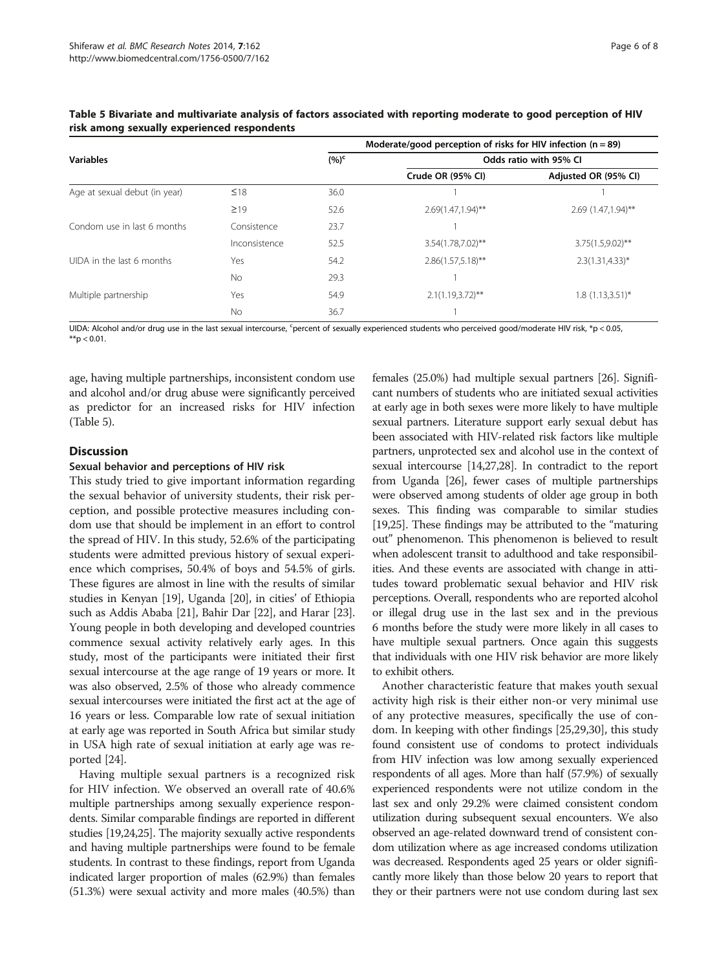|                               |               | Moderate/good perception of risks for HIV infection ( $n = 89$ ) |                        |                      |  |  |  |
|-------------------------------|---------------|------------------------------------------------------------------|------------------------|----------------------|--|--|--|
| <b>Variables</b>              |               | $(%)^c$                                                          | Odds ratio with 95% CI |                      |  |  |  |
|                               |               |                                                                  | Crude OR (95% CI)      | Adjusted OR (95% CI) |  |  |  |
| Age at sexual debut (in year) | $\leq 18$     | 36.0                                                             |                        |                      |  |  |  |
|                               | $\geq$ 19     | 52.6                                                             | 2.69(1.47,1.94)**      | 2.69 (1.47,1.94)**   |  |  |  |
| Condom use in last 6 months   | Consistence   | 23.7                                                             |                        |                      |  |  |  |
|                               | Inconsistence | 52.5                                                             | 3.54(1.78,7.02)**      | $3.75(1.5,9.02)$ **  |  |  |  |
| UIDA in the last 6 months     | Yes           | 54.2                                                             | $2.86(1.57.5.18)$ **   | $2.3(1.31, 4.33)^*$  |  |  |  |
|                               | <b>No</b>     | 29.3                                                             |                        |                      |  |  |  |
| Multiple partnership          | Yes           | 54.9                                                             | $2.1(1.19,3.72)$ **    | $1.8(1.13,3.51)^{*}$ |  |  |  |
|                               | <b>No</b>     | 36.7                                                             |                        |                      |  |  |  |

<span id="page-5-0"></span>Table 5 Bivariate and multivariate analysis of factors associated with reporting moderate to good perception of HIV risk among sexually experienced respondents

UIDA: Alcohol and/or drug use in the last sexual intercourse, <sup>c</sup>percent of sexually experienced students who perceived good/moderate HIV risk, \*p < 0.05,  $**p < 0.01$ .

age, having multiple partnerships, inconsistent condom use and alcohol and/or drug abuse were significantly perceived as predictor for an increased risks for HIV infection (Table 5).

## **Discussion**

#### Sexual behavior and perceptions of HIV risk

This study tried to give important information regarding the sexual behavior of university students, their risk perception, and possible protective measures including condom use that should be implement in an effort to control the spread of HIV. In this study, 52.6% of the participating students were admitted previous history of sexual experience which comprises, 50.4% of boys and 54.5% of girls. These figures are almost in line with the results of similar studies in Kenyan [[19](#page-7-0)], Uganda [\[20\]](#page-7-0), in cities' of Ethiopia such as Addis Ababa [\[21\]](#page-7-0), Bahir Dar [[22](#page-7-0)], and Harar [[23](#page-7-0)]. Young people in both developing and developed countries commence sexual activity relatively early ages. In this study, most of the participants were initiated their first sexual intercourse at the age range of 19 years or more. It was also observed, 2.5% of those who already commence sexual intercourses were initiated the first act at the age of 16 years or less. Comparable low rate of sexual initiation at early age was reported in South Africa but similar study in USA high rate of sexual initiation at early age was reported [[24](#page-7-0)].

Having multiple sexual partners is a recognized risk for HIV infection. We observed an overall rate of 40.6% multiple partnerships among sexually experience respondents. Similar comparable findings are reported in different studies [[19,24,25](#page-7-0)]. The majority sexually active respondents and having multiple partnerships were found to be female students. In contrast to these findings, report from Uganda indicated larger proportion of males (62.9%) than females (51.3%) were sexual activity and more males (40.5%) than

females (25.0%) had multiple sexual partners [\[26\]](#page-7-0). Significant numbers of students who are initiated sexual activities at early age in both sexes were more likely to have multiple sexual partners. Literature support early sexual debut has been associated with HIV-related risk factors like multiple partners, unprotected sex and alcohol use in the context of sexual intercourse [\[14,27,28\]](#page-7-0). In contradict to the report from Uganda [\[26](#page-7-0)], fewer cases of multiple partnerships were observed among students of older age group in both sexes. This finding was comparable to similar studies [[19,25\]](#page-7-0). These findings may be attributed to the "maturing out" phenomenon. This phenomenon is believed to result when adolescent transit to adulthood and take responsibilities. And these events are associated with change in attitudes toward problematic sexual behavior and HIV risk perceptions. Overall, respondents who are reported alcohol or illegal drug use in the last sex and in the previous 6 months before the study were more likely in all cases to have multiple sexual partners. Once again this suggests that individuals with one HIV risk behavior are more likely to exhibit others.

Another characteristic feature that makes youth sexual activity high risk is their either non-or very minimal use of any protective measures, specifically the use of condom. In keeping with other findings [[25,29,30\]](#page-7-0), this study found consistent use of condoms to protect individuals from HIV infection was low among sexually experienced respondents of all ages. More than half (57.9%) of sexually experienced respondents were not utilize condom in the last sex and only 29.2% were claimed consistent condom utilization during subsequent sexual encounters. We also observed an age-related downward trend of consistent condom utilization where as age increased condoms utilization was decreased. Respondents aged 25 years or older significantly more likely than those below 20 years to report that they or their partners were not use condom during last sex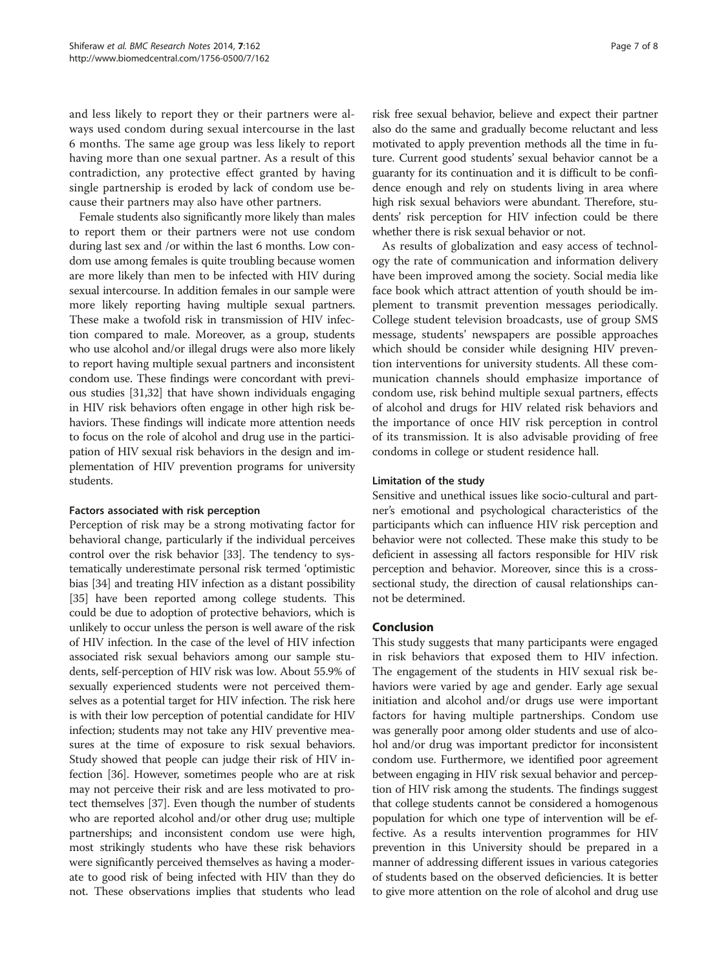and less likely to report they or their partners were always used condom during sexual intercourse in the last 6 months. The same age group was less likely to report having more than one sexual partner. As a result of this contradiction, any protective effect granted by having single partnership is eroded by lack of condom use because their partners may also have other partners.

Female students also significantly more likely than males to report them or their partners were not use condom during last sex and /or within the last 6 months. Low condom use among females is quite troubling because women are more likely than men to be infected with HIV during sexual intercourse. In addition females in our sample were more likely reporting having multiple sexual partners. These make a twofold risk in transmission of HIV infection compared to male. Moreover, as a group, students who use alcohol and/or illegal drugs were also more likely to report having multiple sexual partners and inconsistent condom use. These findings were concordant with previous studies [[31,32](#page-7-0)] that have shown individuals engaging in HIV risk behaviors often engage in other high risk behaviors. These findings will indicate more attention needs to focus on the role of alcohol and drug use in the participation of HIV sexual risk behaviors in the design and implementation of HIV prevention programs for university students.

## Factors associated with risk perception

Perception of risk may be a strong motivating factor for behavioral change, particularly if the individual perceives control over the risk behavior [[33](#page-7-0)]. The tendency to systematically underestimate personal risk termed 'optimistic bias [\[34\]](#page-7-0) and treating HIV infection as a distant possibility [[35](#page-7-0)] have been reported among college students. This could be due to adoption of protective behaviors, which is unlikely to occur unless the person is well aware of the risk of HIV infection. In the case of the level of HIV infection associated risk sexual behaviors among our sample students, self-perception of HIV risk was low. About 55.9% of sexually experienced students were not perceived themselves as a potential target for HIV infection. The risk here is with their low perception of potential candidate for HIV infection; students may not take any HIV preventive measures at the time of exposure to risk sexual behaviors. Study showed that people can judge their risk of HIV infection [\[36\]](#page-7-0). However, sometimes people who are at risk may not perceive their risk and are less motivated to protect themselves [\[37\]](#page-7-0). Even though the number of students who are reported alcohol and/or other drug use; multiple partnerships; and inconsistent condom use were high, most strikingly students who have these risk behaviors were significantly perceived themselves as having a moderate to good risk of being infected with HIV than they do not. These observations implies that students who lead risk free sexual behavior, believe and expect their partner also do the same and gradually become reluctant and less motivated to apply prevention methods all the time in future. Current good students' sexual behavior cannot be a guaranty for its continuation and it is difficult to be confidence enough and rely on students living in area where high risk sexual behaviors were abundant. Therefore, students' risk perception for HIV infection could be there whether there is risk sexual behavior or not.

As results of globalization and easy access of technology the rate of communication and information delivery have been improved among the society. Social media like face book which attract attention of youth should be implement to transmit prevention messages periodically. College student television broadcasts, use of group SMS message, students' newspapers are possible approaches which should be consider while designing HIV prevention interventions for university students. All these communication channels should emphasize importance of condom use, risk behind multiple sexual partners, effects of alcohol and drugs for HIV related risk behaviors and the importance of once HIV risk perception in control of its transmission. It is also advisable providing of free condoms in college or student residence hall.

#### Limitation of the study

Sensitive and unethical issues like socio-cultural and partner's emotional and psychological characteristics of the participants which can influence HIV risk perception and behavior were not collected. These make this study to be deficient in assessing all factors responsible for HIV risk perception and behavior. Moreover, since this is a crosssectional study, the direction of causal relationships cannot be determined.

## Conclusion

This study suggests that many participants were engaged in risk behaviors that exposed them to HIV infection. The engagement of the students in HIV sexual risk behaviors were varied by age and gender. Early age sexual initiation and alcohol and/or drugs use were important factors for having multiple partnerships. Condom use was generally poor among older students and use of alcohol and/or drug was important predictor for inconsistent condom use. Furthermore, we identified poor agreement between engaging in HIV risk sexual behavior and perception of HIV risk among the students. The findings suggest that college students cannot be considered a homogenous population for which one type of intervention will be effective. As a results intervention programmes for HIV prevention in this University should be prepared in a manner of addressing different issues in various categories of students based on the observed deficiencies. It is better to give more attention on the role of alcohol and drug use